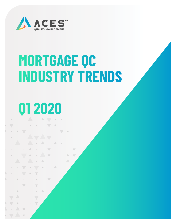

# **MORTGAGE QC INDUSTRY TRENDS**

 $\triangle$ 

# **Q1 2020**

 $\overline{\phantom{0}}$ 

 $\overline{\phantom{0}}$ 

 $\bar{\Delta}$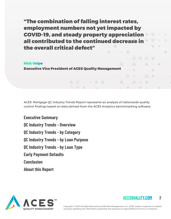"The combination of falling interest rates, employment numbers not yet impacted by COVID-19, and steady property appreciation all contributed to the continued decrease in the overall critical defect"

#### Nick Volpe

Executive Vice President of ACES Quality Management

ACES' Mortgage QC Industry Trends Report represents an analysis of nationwide quality control findings based on data derived from the ACES Analytics benchmarking software.

**Executive Summary QC Industry Trends - Overview QC Industry Trends - by Category QC Industry Trends - by Loan Purpose QC Industry Trends - by Loan Type Early Payment Defaults Conclusion About this Report**



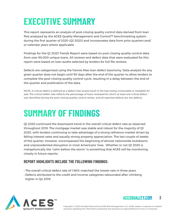## **EXECUTIVE SUMMARY**

This report represents an analysis of post-closing quality control data derived from loan files analyzed by the ACES Quality Management and Control™ benchmarking system during the first quarter of 2020 (Q1 2020) and incorporates data from prior quarters and/ or calendar years where applicable.

Findings for the Q1 2020 Trends Report were based on post-closing quality control data from over 90,000 unique loans. All reviews and defect data that were evaluated for this report were based on loan audits selected by lenders for full file reviews.

Defects are categorized using the Fannie Mae loan defect taxonomy. Data analysis for any given quarter does not begin until 90 days after the end of the quarter to allow lenders to complete the post-closing quality control cycle, resulting in a delay between the end of the quarter and publication of the data.

NOTE: A critical defect is defined as a defect that would result in the loan being uninsurable or ineligible for sale. The critical defect rate reflects the percentage of loans reviewed for which at least one critical defect was identified during the post-closing quality control review, and all reported defects are net defects.

## **SUMMARY OF FINDINGS**

Q1 2020 continued the downward trend in the overall critical defect rate as observed throughout 2019. The mortgage market was stable and robust for the majority of Q1 2020, with lenders continuing to take advantage of a strong refinance market driven by falling interest rates and equally strong property appreciation. The last couple of weeks of the quarter, however, encompassed the beginning of almost nationwide lockdowns and unprecedented disruption in most Americans' lives. Whether or not Q1 2020 is metaphorically the "calm before the storm" is something that ACES will be monitoring closely in future reports.

#### **REPORT HIGHLIGHTS INCLUDE THE FOLLOWING FINDINGS:**

- The overall critical defect rate of 1.56% matched the lowest rate in three years.
- Defects attributed to the credit and income categories rebounded after climbing higher in Q4 2019.



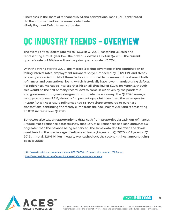- Increases in the share of refinances (5%) and conventional loans (2%) contributed to the improvement in the overall defect rate.
- Early Payment Defaults are on the rise.

### **QC INDUSTRY TRENDS – OVERVIEW**

The overall critical defect rate fell to 1.56% in Q1 2020, matching Q3 2019 and representing a multi-year low. The previous low was 1.53% in Q4 2016. The current quarter's rate is 9.8% lower than the prior quarter's rate of 1.73%.

With the strong start to 2020, the market is taking advantage of the combination of falling interest rates, employment numbers not yet impacted by COVID-19, and steady property appreciation. All of these factors contributed to increases in the share of both refinances and conventional loans, which historically have lower manufacturing defects. For reference<sup>1</sup>, mortgage interest rates hit an all-time low of 3.29% on March 5, though this would be the first of many record lows to come in Q2 driven by the pandemic and government programs designed to stimulate the economy. The Q1 2020 average mortgage rate was 3.5%, almost a full percentage point lower than the same quarter in 2019 (4.4%). As a result, refinances had 55-60% share compared to purchase transactions, continuing the steady climb from the back half of 2019 and representing an 87% increase over Q1 2019.

Borrowers also saw an opportunity to draw cash from properties via cash-out refinances. Freddie Mac's refinance datasets show that 42% of all refinances had loan amounts 5% or greater than the balance being refinanced. The same data also followed the downward trend in the median age of refinanced loans (2.4 years in Q1 2020 v. 6.2 years in Q1 2019). In total, \$26.6 billion in equity was cashed out, the second-highest amount going back to 20082.

<sup>1</sup> http://www.freddiemac.com/research/insight/20200706\_refi\_trends\_first\_quarter\_2020.page

<sup>2</sup> http://www.freddiemac.com/research/datasets/refinance-stats/index.page



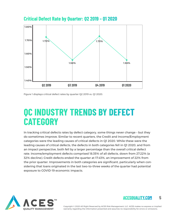

**Critical Defect Rate by Quarter: Q2 2019 – Q1 2020**

Figure 1 displays critical defect rates by quarter Q2 2019 vs. Q1 2020.

### **QC INDUSTRY TRENDS BY DEFECT CATEGORY**

In tracking critical defects rates by defect category, some things never change – but they do sometimes improve. Similar to recent quarters, the Credit and Income/Employment categories were the leading causes of critical defects in Q1 2020. While these were the leading causes of critical defects, the defects in both categories fell in Q1 2020, and from an impact perspective, both fell by a larger percentage than the overall critical defect rate. Income/employment defects comprised 18.35% of all defects, down from 27.22% (a 32% decline). Credit defects ended the quarter at 17.43%, an improvement of 22% from the prior quarter. Improvements in both categories are significant, particularly when considering that loans originated in the last two-to-three weeks of the quarter had potential exposure to COVID-19 economic impacts.



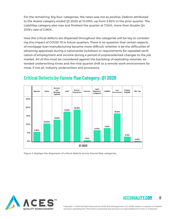For the remaining 'big four' categories, the news was not as positive. Defects attributed to the Assets category ended Q1 2020 at 10.09%, up from 5.92% in the prior quarter. The Liabilities category also rose and finished the quarter at 7.34%, more than double Q4 2019's rate of 2.96%.

How the critical defects are dispersed throughout the categories will be key to considering the impact of COVID-19 in future quarters. There is no question that certain aspects of mortgage loan manufacturing became more difficult, whether it be the difficulties of obtaining appraisals during a nationwide lockdown or requirements for repeated verification of employment and income during a period of unprecedented changes to the job market. All of this must be considered against the backdrop of exploding volumes, extended underwriting times and the mid-quarter shift to a remote work environment for most, if not all, industry underwriters and processors.



### **Critical Defects by Fannie Mae Category: Q1 2020**

Figure 2 displays the dispersion of critical defects across Fannie Mae categories.



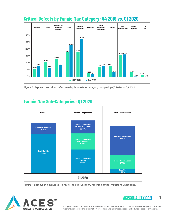

### **Critical Defects by Fannie Mae Category: Q4 2019 vs. Q1 2020**

Figure 3 displays the critical defect rate by Fannie Mae category comparing Q1 2020 to Q4 2019.

### **Fannie Mae Sub-Categories: Q1 2020**



Figure 4 displays the individual Fannie Mae Sub-Category for three of the important Categories.



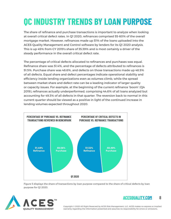## **QC INDUSTRY TRENDS BY LOAN PURPOSE**

The share of refinance and purchase transactions is important to analyze when looking at overall critical defect rates. In Q1 2020, refinances comprised 55-60% of the overall mortgage market. However, refinances made up 51% of the loans uploaded into the ACES Quality Management and Control software by lenders for its Q1 2020 analysis. This is up 45% from CY 2019's share of 35.39% and is most certainly a driver of the steady performance in the overall critical defect rate.

The percentage of critical defects allocated to refinances and purchases was equal. Refinance share was 51.4%, and the percentage of defects attributed to refinances is 51.5%. Purchase share was 48.6%, and defects on those transactions made up 48.5% of all defects. Equal share and defect percentages indicate operational stability and efficiency inside lending organizations even as volumes climb, while the spread between market share and defect rate can be a leading indicator of larger quality or capacity issues. For example, at the beginning of the current refinance 'boom' (Q4 2019), refinances actually underperformed, comprising 44.6% of all loans analyzed but accounting for 49.3% of all defects in that quarter. The reversion back to normal in this current quarter should be viewed as a positive in light of the continued increase in lending volumes expected throughout 2020.



Figure 5 displays the share of transactions by loan purpose compared to the share of critical defects by loan purpose for Q1 2020.



#### **ACESQUALITY.COM 8**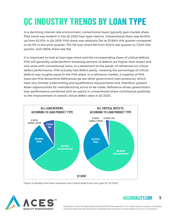# **QC INDUSTRY TRENDS BY LOAN TYPE**

In a declining interest rate environment, conventional loans typically gain market share. That trend was evident in the Q1 2020 loan type metrics. Conventional share was 64.61%, up from 62.51% in Q4 2019. FHA share was relatively flat at 25.66% this quarter compared to 26.11% in the prior quarter. The VA-loan share fell from 8.54% last quarter to 7.22% this quarter, and USDA share was flat.

It is important to look at loan type share and the corresponding share of critical defects. FHA will generally underperform (meaning percent of defects are higher than share) and vice versa with conventional loans. In a testament to the power of refinances on critical defect performance, FHA actually had defect parity, meaning the percentage of critical defects was roughly equal to the FHA share. In a refinance market, a majority of FHA loans are FHA Streamline Refinances (as are other government loan products), which have very limited underwriting and qualification requirements and, therefore, present fewer opportunities for manufacturing errors to be made. Refinance-driven government loan performance combined with an uptick in conventional share contributed positively to the improvement in overall critical defect rates in Q1 2020.



Figure 6 displays the loans reviewed and critical defects by loan type for Q1 2020



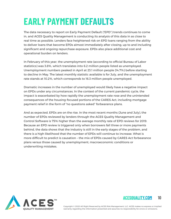# **EARLY PAYMENT DEFAULTS**

The data necessary to report on Early Payment Default ("EPD") trends continues to come in, and ACES Quality Management is conducting its analysis of this data in as close to real time as possible. Lenders face heightened risk on EPD loans ranging from the ability to deliver loans that become EPDs almost immediately after closing, up to and including significant and ongoing repurchase exposure. EPDs also place additional cost and operational burden on lenders.

In February of this year, the unemployment rate (according to official Bureau of Labor statistics) was 3.8%, which translates into 6.2 million people listed as unemployed. Unemployment numbers peaked in April at 23.1 million people (14.7%) before starting to decline in May. The latest monthly statistic available is for July, and the unemployment rate stands at 10.2%, which corresponds to 16.3 million people unemployed.

Dramatic increases in the number of unemployed would likely have a negative impact on EPDs under any circumstances. In the context of the current pandemic cycle, the impact is exacerbated by how rapidly the unemployment rate rose and the unintended consequences of the housing-focused portions of the CARES Act, including mortgage payment relief in the form of "no questions asked" forbearance plans.

And as expected, EPDs are on the rise. In the most recent months (June and July), the number of EPDs reviewed by lenders through the ACES Quality Management and Control Software is 75% higher than the average monthly rate of EPD reviews for 2019. Because an EPD review is triggered only when borrowers fall three or more payments behind, the data shows that the industry is still in the early stages of the problem, and there is a high likelihood that the number of EPDs will continue to increase. What is more difficult to predict is causation – the mix of EPDs caused by CARES Act forbearance plans versus those caused by unemployment, macroeconomic conditions or underwriting mistakes.



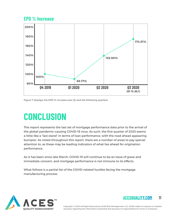### **EPD % Increase**



Figure 7 displays the EPD % increase over Q1 and the following quarters.

### **CONCLUSION**

This report represents the last set of mortgage performance data prior to the arrival of the global pandemic-causing COVID-19 virus. As such, the first quarter of 2020 seems a little like a "last stand" in terms of loan performance, with the road ahead appearing bumpier. As noted throughout this report, there are a number of areas to pay special attention to, as these may be leading indicators of what lies ahead for origination performance.

As it has been since late March, COVID-19 will continue to be an issue of grave and immediate concern, and mortgage performance is not immune to its effects.

What follows is a partial list of the COVID-related hurdles facing the mortgage manufacturing process:



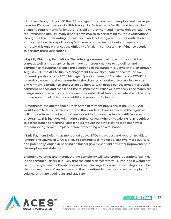• Job Loss: through July 2020 the U.S. averaged 1+ million new unemployment claims per week for 17 consecutive weeks. This is tragic for far too many families and has also led to changing requirements for lenders. To avoid employment and income defects leading to repurchase/ineligibility, many lenders have moved to performing multiple verifications throughout the underwriting process, up to and including a last-minute verification of employment on the day of closing. With most companies continuing to operate remotely, this only enhances the difficulty of making contact with HR/Finance people to perform these verifications.

• Rapidly Changing Regulations: The federal government, along with the individual states as well as the agencies, have made numerous changes to guidelines and compliance requirements since the beginning of the pandemic. Between March through August 2020, the ACES Quality Management Compliance Team added around 1429 different questions to its ACES Managed Questionnaires, 802 of which were COVID-19 related. However, the sheer enormity of the changes is not the only issue. In a typical environment, compliance changes are deliberate, with notice period, sometimes public comment periods and then lead time to implement. What we have seen since March are change announcements and state executive orders that take immediate effect, the rapid implementation of which poses additional problems for lenders.

• Deferments: the operational burden of the deferment provisions of the CARES Act would seem to fall on servicers more so than lenders. However, because the agencies will not purchase some loans that are subject to forbearance, lenders still face much uncertainty. This includes originating a refinance loan where the existing loan is subject to a forbearance agreement. Most lenders require that the existing loan not have a forbearance agreement in place before proceeding with a refinance.

• Early Payment Defaults: as mentioned above, EPDs create cost and repurchase risk to lenders. The volume of EPDs is likely to continue to climb for at least two more quarters and potentially longer, depending on further government aid or further improvement in the employment statistics.

Exploding volumes and manufacturing complexity will test lenders' operational abilities in the coming quarters. It is likely that the critical defect rate will climb, and it would not be surprising to see the Compliance and Loan Package Documentation categories to be the primary drivers of any increase. In the meantime, lenders should enjoy the plentiful volume, originate good loans and stay safe!